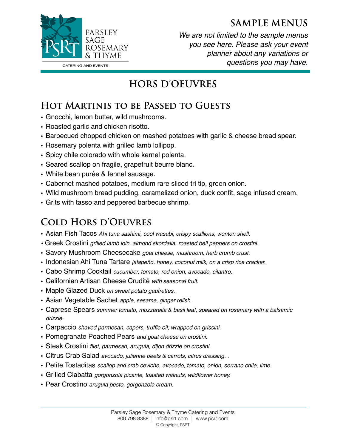#### **SAMPLE MENUS**



*We are not limited to the sample menus you see here. Please ask your event planner about any variations or questions you may have.* 

## **HORS D'OEUVRES**

## **Hot Martinis to be Passed to Guests**

- Gnocchi, lemon butter, wild mushrooms.
- Roasted garlic and chicken risotto.
- Barbecued chopped chicken on mashed potatoes with garlic & cheese bread spear.
- Rosemary polenta with grilled lamb lollipop.
- Spicy chile colorado with whole kernel polenta.
- Seared scallop on fragile, grapefruit beurre blanc.
- White bean purée & fennel sausage.
- Cabernet mashed potatoes, medium rare sliced tri tip, green onion.
- Wild mushroom bread pudding, caramelized onion, duck confit, sage infused cream.
- Grits with tasso and peppered barbecue shrimp.

## **Cold Hors d'Oeuvres**

- Asian Fish Tacos *Ahi tuna sashimi, cool wasabi, crispy scallions, wonton shell.*
- *•* Greek Crostini *grilled lamb loin, almond skordalia, roasted bell peppers on crostini.*
- Savory Mushroom Cheesecake *goat cheese, mushroom, herb crumb crust.*
- Indonesian Ahi Tuna Tartare *jalapeño, honey, coconut milk, on a crisp rice cracker.*
- Cabo Shrimp Cocktail *cucumber, tomato, red onion, avocado, cilantro.*
- Californian Artisan Cheese Crudité *with seasonal fruit.*
- Maple Glazed Duck *on sweet potato gaufrettes.*
- Asian Vegetable Sachet *apple, sesame, ginger relish.*
- Caprese Spears *summer tomato, mozzarella & basil leaf, speared on rosemary with a balsamic drizzle.*
- Carpaccio *shaved parmesan, capers, truffle oil; wrapped on grissini.*
- Pomegranate Poached Pears *and goat cheese on crostini.*
- Steak Crostini *filet, parmesan, arugula, dijon drizzle on crostini.*
- Citrus Crab Salad *avocado, julienne beets & carrots, citrus dressing. .*
- Petite Tostaditas *scallop and crab ceviche, avocado, tomato, onion, serrano chile, lime.*
- Grilled Ciabatta *gorgonzola picante, toasted walnuts, wildflower honey.*
- Pear Crostino *arugula pesto, gorgonzola cream.*